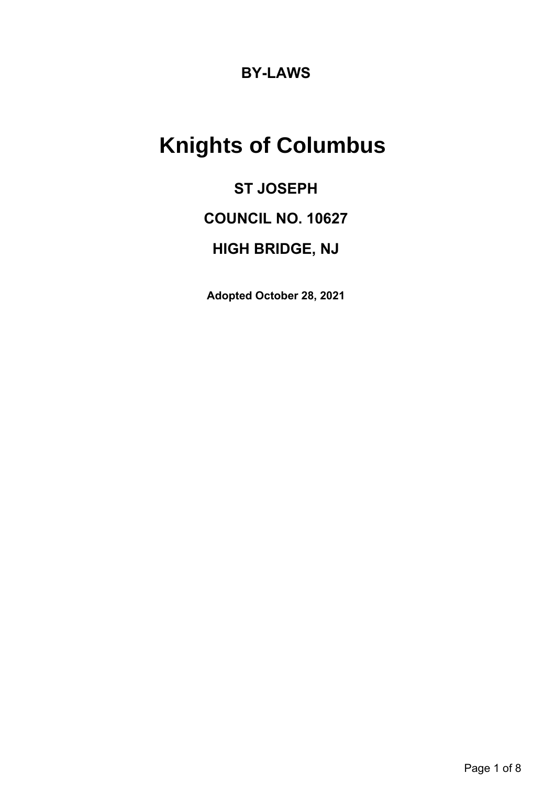# **BY-LAWS**

# **Knights of Columbus**

# **ST JOSEPH COUNCIL NO. 10627 HIGH BRIDGE, NJ**

**Adopted October 28, 2021**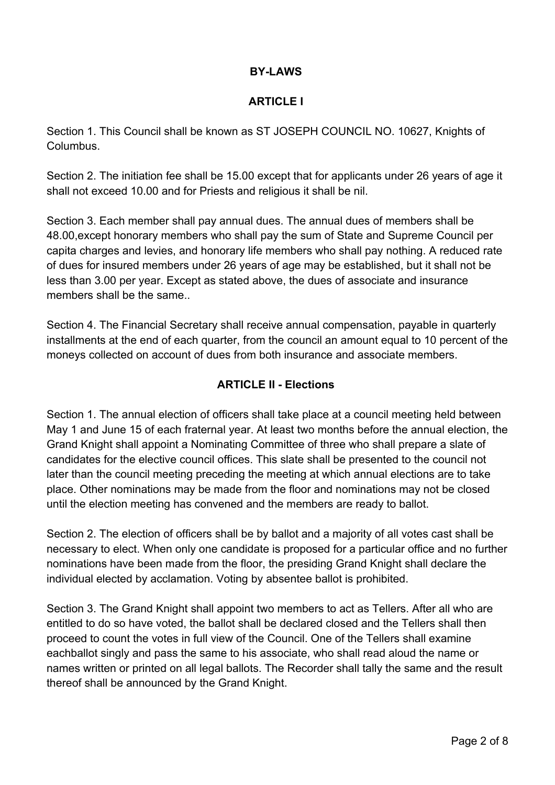# **BY-LAWS**

### **ARTICLE I**

Section 1. This Council shall be known as ST JOSEPH COUNCIL NO. 10627, Knights of Columbus.

Section 2. The initiation fee shall be 15.00 except that for applicants under 26 years of age it shall not exceed 10.00 and for Priests and religious it shall be nil.

Section 3. Each member shall pay annual dues. The annual dues of members shall be 48.00,except honorary members who shall pay the sum of State and Supreme Council per capita charges and levies, and honorary life members who shall pay nothing. A reduced rate of dues for insured members under 26 years of age may be established, but it shall not be less than 3.00 per year. Except as stated above, the dues of associate and insurance members shall be the same..

Section 4. The Financial Secretary shall receive annual compensation, payable in quarterly installments at the end of each quarter, from the council an amount equal to 10 percent of the moneys collected on account of dues from both insurance and associate members.

# **ARTICLE II - Elections**

Section 1. The annual election of officers shall take place at a council meeting held between May 1 and June 15 of each fraternal year. At least two months before the annual election, the Grand Knight shall appoint a Nominating Committee of three who shall prepare a slate of candidates for the elective council offices. This slate shall be presented to the council not later than the council meeting preceding the meeting at which annual elections are to take place. Other nominations may be made from the floor and nominations may not be closed until the election meeting has convened and the members are ready to ballot.

Section 2. The election of officers shall be by ballot and a majority of all votes cast shall be necessary to elect. When only one candidate is proposed for a particular office and no further nominations have been made from the floor, the presiding Grand Knight shall declare the individual elected by acclamation. Voting by absentee ballot is prohibited.

Section 3. The Grand Knight shall appoint two members to act as Tellers. After all who are entitled to do so have voted, the ballot shall be declared closed and the Tellers shall then proceed to count the votes in full view of the Council. One of the Tellers shall examine eachballot singly and pass the same to his associate, who shall read aloud the name or names written or printed on all legal ballots. The Recorder shall tally the same and the result thereof shall be announced by the Grand Knight.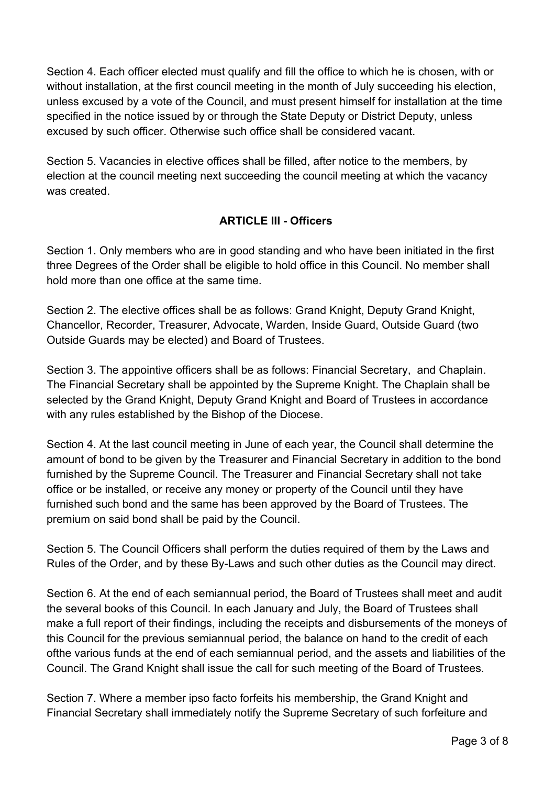Section 4. Each officer elected must qualify and fill the office to which he is chosen, with or without installation, at the first council meeting in the month of July succeeding his election, unless excused by a vote of the Council, and must present himself for installation at the time specified in the notice issued by or through the State Deputy or District Deputy, unless excused by such officer. Otherwise such office shall be considered vacant.

Section 5. Vacancies in elective offices shall be filled, after notice to the members, by election at the council meeting next succeeding the council meeting at which the vacancy was created.

# **ARTICLE III - Officers**

Section 1. Only members who are in good standing and who have been initiated in the first three Degrees of the Order shall be eligible to hold office in this Council. No member shall hold more than one office at the same time.

Section 2. The elective offices shall be as follows: Grand Knight, Deputy Grand Knight, Chancellor, Recorder, Treasurer, Advocate, Warden, Inside Guard, Outside Guard (two Outside Guards may be elected) and Board of Trustees.

Section 3. The appointive officers shall be as follows: Financial Secretary, and Chaplain. The Financial Secretary shall be appointed by the Supreme Knight. The Chaplain shall be selected by the Grand Knight, Deputy Grand Knight and Board of Trustees in accordance with any rules established by the Bishop of the Diocese.

Section 4. At the last council meeting in June of each year, the Council shall determine the amount of bond to be given by the Treasurer and Financial Secretary in addition to the bond furnished by the Supreme Council. The Treasurer and Financial Secretary shall not take office or be installed, or receive any money or property of the Council until they have furnished such bond and the same has been approved by the Board of Trustees. The premium on said bond shall be paid by the Council.

Section 5. The Council Officers shall perform the duties required of them by the Laws and Rules of the Order, and by these By-Laws and such other duties as the Council may direct.

Section 6. At the end of each semiannual period, the Board of Trustees shall meet and audit the several books of this Council. In each January and July, the Board of Trustees shall make a full report of their findings, including the receipts and disbursements of the moneys of this Council for the previous semiannual period, the balance on hand to the credit of each ofthe various funds at the end of each semiannual period, and the assets and liabilities of the Council. The Grand Knight shall issue the call for such meeting of the Board of Trustees.

Section 7. Where a member ipso facto forfeits his membership, the Grand Knight and Financial Secretary shall immediately notify the Supreme Secretary of such forfeiture and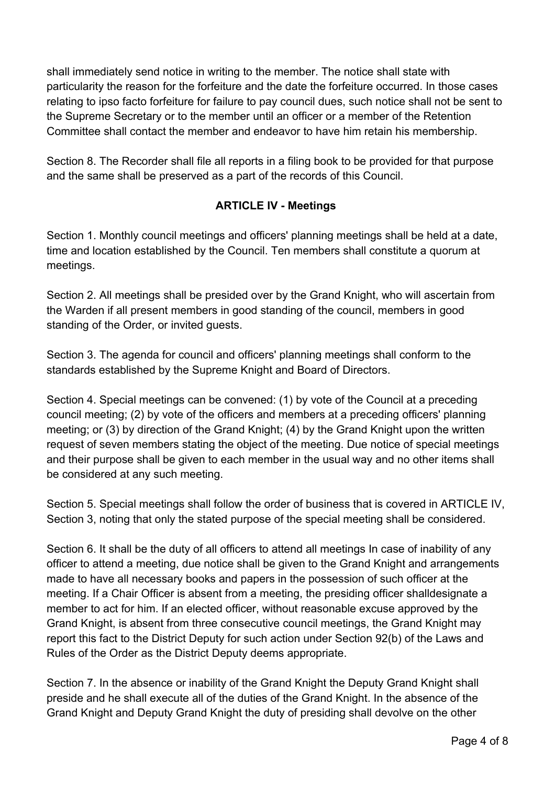shall immediately send notice in writing to the member. The notice shall state with particularity the reason for the forfeiture and the date the forfeiture occurred. In those cases relating to ipso facto forfeiture for failure to pay council dues, such notice shall not be sent to the Supreme Secretary or to the member until an officer or a member of the Retention Committee shall contact the member and endeavor to have him retain his membership.

Section 8. The Recorder shall file all reports in a filing book to be provided for that purpose and the same shall be preserved as a part of the records of this Council.

# **ARTICLE IV - Meetings**

Section 1. Monthly council meetings and officers' planning meetings shall be held at a date, time and location established by the Council. Ten members shall constitute a quorum at meetings.

Section 2. All meetings shall be presided over by the Grand Knight, who will ascertain from the Warden if all present members in good standing of the council, members in good standing of the Order, or invited guests.

Section 3. The agenda for council and officers' planning meetings shall conform to the standards established by the Supreme Knight and Board of Directors.

Section 4. Special meetings can be convened: (1) by vote of the Council at a preceding council meeting; (2) by vote of the officers and members at a preceding officers' planning meeting; or (3) by direction of the Grand Knight; (4) by the Grand Knight upon the written request of seven members stating the object of the meeting. Due notice of special meetings and their purpose shall be given to each member in the usual way and no other items shall be considered at any such meeting.

Section 5. Special meetings shall follow the order of business that is covered in ARTICLE IV, Section 3, noting that only the stated purpose of the special meeting shall be considered.

Section 6. It shall be the duty of all officers to attend all meetings In case of inability of any officer to attend a meeting, due notice shall be given to the Grand Knight and arrangements made to have all necessary books and papers in the possession of such officer at the meeting. If a Chair Officer is absent from a meeting, the presiding officer shalldesignate a member to act for him. If an elected officer, without reasonable excuse approved by the Grand Knight, is absent from three consecutive council meetings, the Grand Knight may report this fact to the District Deputy for such action under Section 92(b) of the Laws and Rules of the Order as the District Deputy deems appropriate.

Section 7. In the absence or inability of the Grand Knight the Deputy Grand Knight shall preside and he shall execute all of the duties of the Grand Knight. In the absence of the Grand Knight and Deputy Grand Knight the duty of presiding shall devolve on the other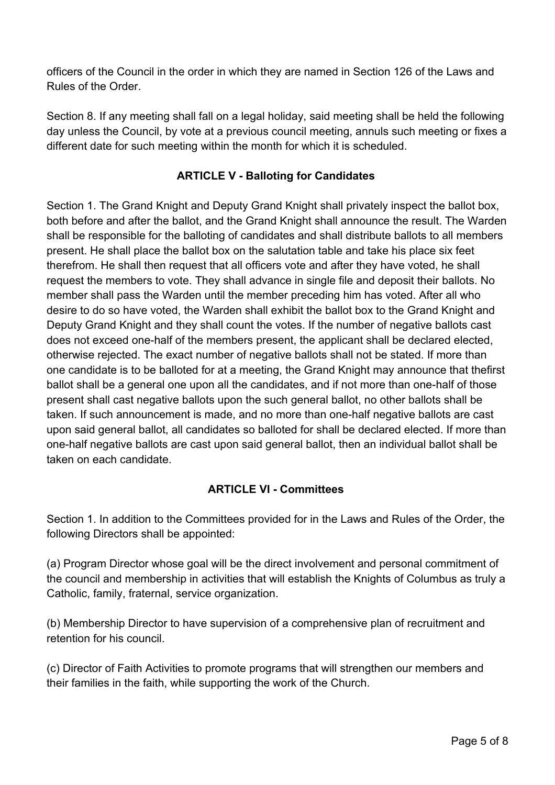officers of the Council in the order in which they are named in Section 126 of the Laws and Rules of the Order.

Section 8. If any meeting shall fall on a legal holiday, said meeting shall be held the following day unless the Council, by vote at a previous council meeting, annuls such meeting or fixes a different date for such meeting within the month for which it is scheduled.

# **ARTICLE V - Balloting for Candidates**

Section 1. The Grand Knight and Deputy Grand Knight shall privately inspect the ballot box, both before and after the ballot, and the Grand Knight shall announce the result. The Warden shall be responsible for the balloting of candidates and shall distribute ballots to all members present. He shall place the ballot box on the salutation table and take his place six feet therefrom. He shall then request that all officers vote and after they have voted, he shall request the members to vote. They shall advance in single file and deposit their ballots. No member shall pass the Warden until the member preceding him has voted. After all who desire to do so have voted, the Warden shall exhibit the ballot box to the Grand Knight and Deputy Grand Knight and they shall count the votes. If the number of negative ballots cast does not exceed one-half of the members present, the applicant shall be declared elected, otherwise rejected. The exact number of negative ballots shall not be stated. If more than one candidate is to be balloted for at a meeting, the Grand Knight may announce that thefirst ballot shall be a general one upon all the candidates, and if not more than one-half of those present shall cast negative ballots upon the such general ballot, no other ballots shall be taken. If such announcement is made, and no more than one-half negative ballots are cast upon said general ballot, all candidates so balloted for shall be declared elected. If more than one-half negative ballots are cast upon said general ballot, then an individual ballot shall be taken on each candidate.

# **ARTICLE VI - Committees**

Section 1. In addition to the Committees provided for in the Laws and Rules of the Order, the following Directors shall be appointed:

(a) Program Director whose goal will be the direct involvement and personal commitment of the council and membership in activities that will establish the Knights of Columbus as truly a Catholic, family, fraternal, service organization.

(b) Membership Director to have supervision of a comprehensive plan of recruitment and retention for his council.

(c) Director of Faith Activities to promote programs that will strengthen our members and their families in the faith, while supporting the work of the Church.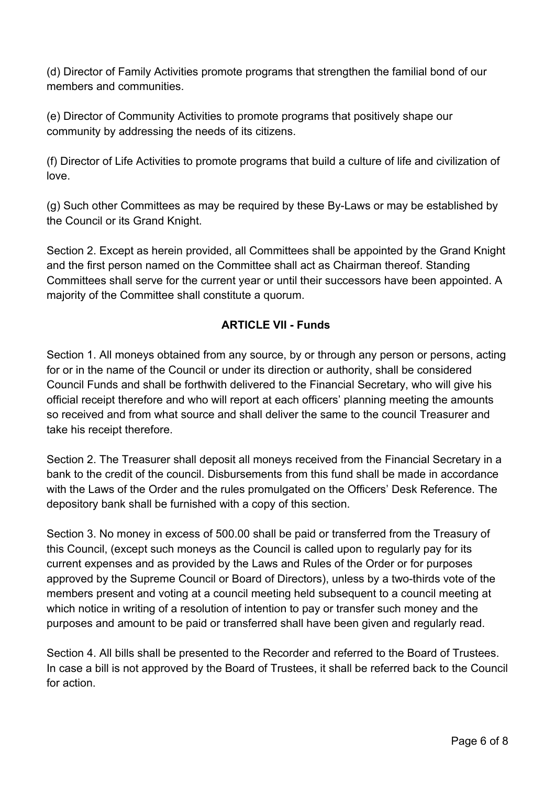(d) Director of Family Activities promote programs that strengthen the familial bond of our members and communities.

(e) Director of Community Activities to promote programs that positively shape our community by addressing the needs of its citizens.

(f) Director of Life Activities to promote programs that build a culture of life and civilization of love.

(g) Such other Committees as may be required by these By-Laws or may be established by the Council or its Grand Knight.

Section 2. Except as herein provided, all Committees shall be appointed by the Grand Knight and the first person named on the Committee shall act as Chairman thereof. Standing Committees shall serve for the current year or until their successors have been appointed. A majority of the Committee shall constitute a quorum.

# **ARTICLE VII - Funds**

Section 1. All moneys obtained from any source, by or through any person or persons, acting for or in the name of the Council or under its direction or authority, shall be considered Council Funds and shall be forthwith delivered to the Financial Secretary, who will give his official receipt therefore and who will report at each officers' planning meeting the amounts so received and from what source and shall deliver the same to the council Treasurer and take his receipt therefore.

Section 2. The Treasurer shall deposit all moneys received from the Financial Secretary in a bank to the credit of the council. Disbursements from this fund shall be made in accordance with the Laws of the Order and the rules promulgated on the Officers' Desk Reference. The depository bank shall be furnished with a copy of this section.

Section 3. No money in excess of 500.00 shall be paid or transferred from the Treasury of this Council, (except such moneys as the Council is called upon to regularly pay for its current expenses and as provided by the Laws and Rules of the Order or for purposes approved by the Supreme Council or Board of Directors), unless by a two-thirds vote of the members present and voting at a council meeting held subsequent to a council meeting at which notice in writing of a resolution of intention to pay or transfer such money and the purposes and amount to be paid or transferred shall have been given and regularly read.

Section 4. All bills shall be presented to the Recorder and referred to the Board of Trustees. In case a bill is not approved by the Board of Trustees, it shall be referred back to the Council for action.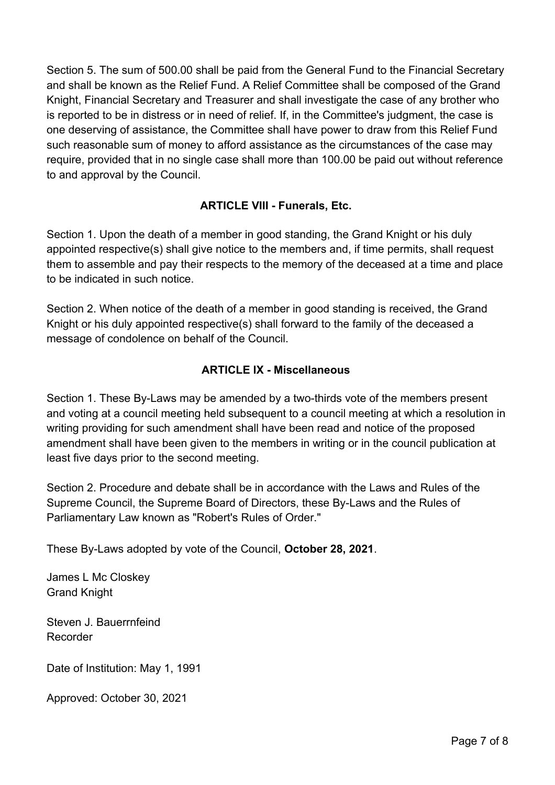Section 5. The sum of 500.00 shall be paid from the General Fund to the Financial Secretary and shall be known as the Relief Fund. A Relief Committee shall be composed of the Grand Knight, Financial Secretary and Treasurer and shall investigate the case of any brother who is reported to be in distress or in need of relief. If, in the Committee's judgment, the case is one deserving of assistance, the Committee shall have power to draw from this Relief Fund such reasonable sum of money to afford assistance as the circumstances of the case may require, provided that in no single case shall more than 100.00 be paid out without reference to and approval by the Council.

# **ARTICLE VIII - Funerals, Etc.**

Section 1. Upon the death of a member in good standing, the Grand Knight or his duly appointed respective(s) shall give notice to the members and, if time permits, shall request them to assemble and pay their respects to the memory of the deceased at a time and place to be indicated in such notice.

Section 2. When notice of the death of a member in good standing is received, the Grand Knight or his duly appointed respective(s) shall forward to the family of the deceased a message of condolence on behalf of the Council.

### **ARTICLE IX - Miscellaneous**

Section 1. These By-Laws may be amended by a two-thirds vote of the members present and voting at a council meeting held subsequent to a council meeting at which a resolution in writing providing for such amendment shall have been read and notice of the proposed amendment shall have been given to the members in writing or in the council publication at least five days prior to the second meeting.

Section 2. Procedure and debate shall be in accordance with the Laws and Rules of the Supreme Council, the Supreme Board of Directors, these By-Laws and the Rules of Parliamentary Law known as "Robert's Rules of Order."

These By-Laws adopted by vote of the Council, **October 28, 2021**.

James L Mc Closkey Grand Knight

Steven J. Bauerrnfeind Recorder

Date of Institution: May 1, 1991

Approved: October 30, 2021